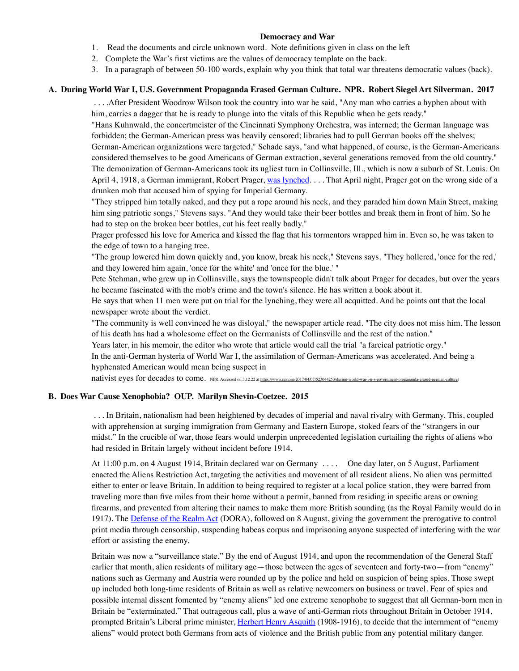## **Democracy and War**

- 1. Read the documents and circle unknown word. Note definitions given in class on the left
- 2. Complete the War's first victims are the values of democracy template on the back.
- 3. In a paragraph of between 50-100 words, explain why you think that total war threatens democratic values (back).

## **A. During World War I, U.S. Government Propaganda Erased German Culture. NPR. Robert Siegel Art Silverman. 2017**

 . . . .After President Woodrow Wilson took the country into war he said, "Any man who carries a hyphen about with him, carries a dagger that he is ready to plunge into the vitals of this Republic when he gets ready."

"Hans Kuhnwald, the concertmeister of the Cincinnati Symphony Orchestra, was interned; the German language was forbidden; the German-American press was heavily censored; libraries had to pull German books off the shelves;

German-American organizations were targeted," Schade says, "and what happened, of course, is the German-Americans considered themselves to be good Americans of German extraction, several generations removed from the old country." The demonization of German-Americans took its ugliest turn in Collinsville, Ill., which is now a suburb of St. Louis. On April 4, 1918, a German immigrant, Robert Prager, [was lynched](http://www.stltoday.com/news/multimedia/look-back-robert-paul-prager-lynching/image_40f0fcae-5e71-5133-b02a-53102c693077.html). . . . That April night, Prager got on the wrong side of a drunken mob that accused him of spying for Imperial Germany.

"They stripped him totally naked, and they put a rope around his neck, and they paraded him down Main Street, making him sing patriotic songs," Stevens says. "And they would take their beer bottles and break them in front of him. So he had to step on the broken beer bottles, cut his feet really badly."

Prager professed his love for America and kissed the flag that his tormentors wrapped him in. Even so, he was taken to the edge of town to a hanging tree.

"The group lowered him down quickly and, you know, break his neck," Stevens says. "They hollered, 'once for the red,' and they lowered him again, 'once for the white' and 'once for the blue.' "

Pete Stehman, who grew up in Collinsville, says the townspeople didn't talk about Prager for decades, but over the years he became fascinated with the mob's crime and the town's silence. He has written a book about it.

He says that when 11 men were put on trial for the lynching, they were all acquitted. And he points out that the local newspaper wrote about the verdict.

"The community is well convinced he was disloyal," the newspaper article read. "The city does not miss him. The lesson of his death has had a wholesome effect on the Germanists of Collinsville and the rest of the nation."

Years later, in his memoir, the editor who wrote that article would call the trial "a farcical patriotic orgy."

In the anti-German hysteria of World War I, the assimilation of German-Americans was accelerated. And being a hyphenated American would mean being suspect in

nativist eyes for decades to come. NPR. Accessed on 3.12.22 at<https://www.npr.org/2017/04/07/523044253/during-world-war-i-u-s-government-propaganda-erased-german-culture>)

## **B. Does War Cause Xenophobia? OUP. Marilyn Shevin-Coetzee. 2015**

 . . . In Britain, nationalism had been heightened by decades of imperial and naval rivalry with Germany. This, coupled with apprehension at surging immigration from Germany and Eastern Europe, stoked fears of the "strangers in our midst." In the crucible of war, those fears would underpin unprecedented legislation curtailing the rights of aliens who had resided in Britain largely without incident before 1914.

At 11:00 p.m. on 4 August 1914, Britain declared war on Germany . . . . One day later, on 5 August, Parliament enacted the Aliens Restriction Act, targeting the activities and movement of all resident aliens. No alien was permitted either to enter or leave Britain. In addition to being required to register at a local police station, they were barred from traveling more than five miles from their home without a permit, banned from residing in specific areas or owning firearms, and prevented from altering their names to make them more British sounding (as the Royal Family would do in 1917). The [Defense of the Realm Act](http://www.parliament.uk/about/living-heritage/transformingsociety/parliament-and-the-first-world-war/video-resources/defence-of-the-realm-act-1914/) (DORA), followed on 8 August, giving the government the prerogative to control print media through censorship, suspending habeas corpus and imprisoning anyone suspected of interfering with the war effort or assisting the enemy.

Britain was now a "surveillance state." By the end of August 1914, and upon the recommendation of the General Staff earlier that month, alien residents of military age—those between the ages of seventeen and forty-two—from "enemy" nations such as Germany and Austria were rounded up by the police and held on suspicion of being spies. Those swept up included both long-time residents of Britain as well as relative newcomers on business or travel. Fear of spies and possible internal dissent fomented by "enemy aliens" led one extreme xenophobe to suggest that all German-born men in Britain be "exterminated." That outrageous call, plus a wave of anti-German riots throughout Britain in October 1914, prompted Britain's Liberal prime minister, [Herbert Henry Asquith](https://www.gov.uk/government/history/past-prime-ministers/herbert-henry-asquith) (1908-1916), to decide that the internment of "enemy aliens" would protect both Germans from acts of violence and the British public from any potential military danger.